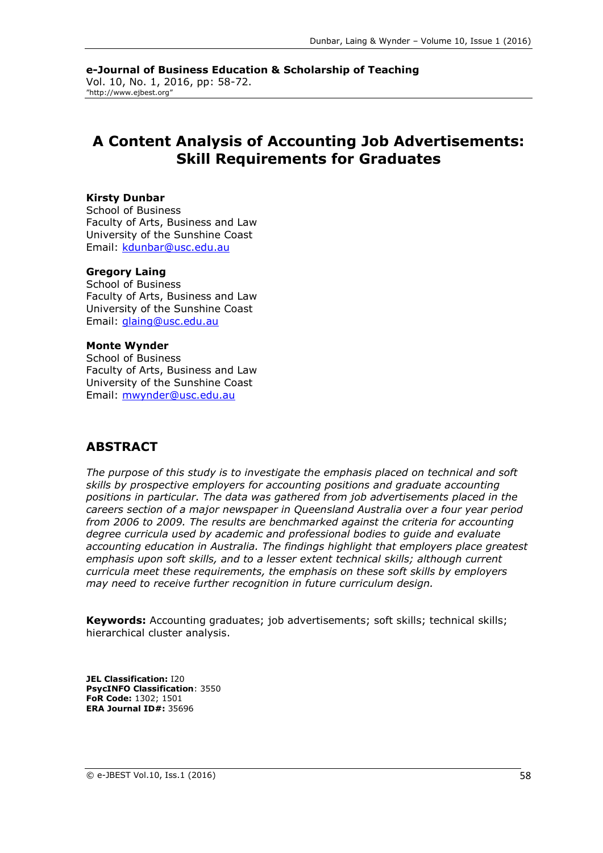**e-Journal of Business Education & Scholarship of Teaching** Vol. 10, No. 1, 2016, pp: 58-72. "http://www.ejbest.org"

# **A Content Analysis of Accounting Job Advertisements: Skill Requirements for Graduates**

#### **Kirsty Dunbar**

School of Business Faculty of Arts, Business and Law University of the Sunshine Coast Email: [kdunbar@usc.edu.au](mailto:kdunbar@usc.edu.au)

#### **Gregory Laing**

School of Business Faculty of Arts, Business and Law University of the Sunshine Coast Email: [glaing@usc.edu.au](mailto:glaing@usc.edu.au)

#### **Monte Wynder**

School of Business Faculty of Arts, Business and Law University of the Sunshine Coast Email: [mwynder@usc.edu.au](mailto:mwynder@usc.edu.au)

### **ABSTRACT**

*The purpose of this study is to investigate the emphasis placed on technical and soft skills by prospective employers for accounting positions and graduate accounting positions in particular. The data was gathered from job advertisements placed in the careers section of a major newspaper in Queensland Australia over a four year period from 2006 to 2009. The results are benchmarked against the criteria for accounting degree curricula used by academic and professional bodies to guide and evaluate accounting education in Australia. The findings highlight that employers place greatest emphasis upon soft skills, and to a lesser extent technical skills; although current curricula meet these requirements, the emphasis on these soft skills by employers may need to receive further recognition in future curriculum design.*

**Keywords:** Accounting graduates; job advertisements; soft skills; technical skills; hierarchical cluster analysis.

**JEL Classification:** I20 **PsycINFO Classification**: 3550 **FoR Code:** 1302; 1501 **ERA Journal ID#:** 35696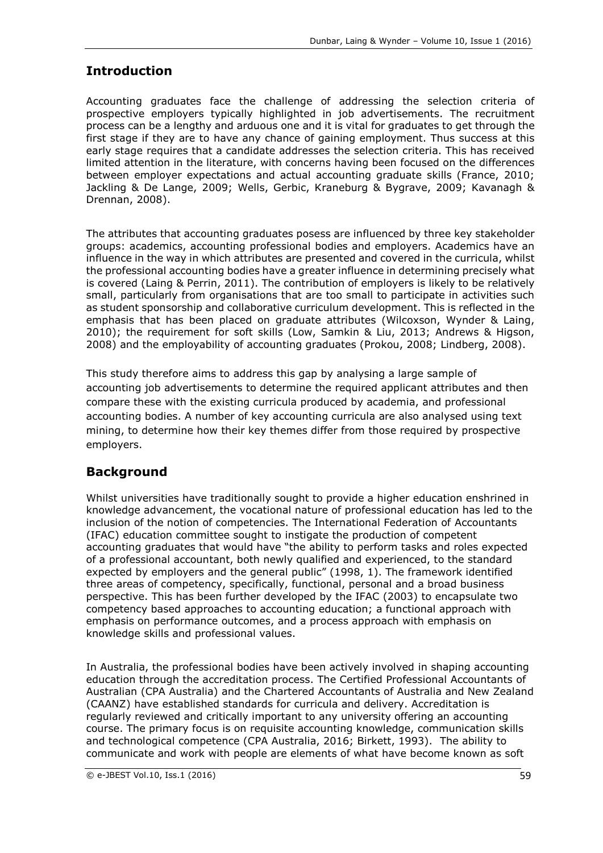# **Introduction**

Accounting graduates face the challenge of addressing the selection criteria of prospective employers typically highlighted in job advertisements. The recruitment process can be a lengthy and arduous one and it is vital for graduates to get through the first stage if they are to have any chance of gaining employment. Thus success at this early stage requires that a candidate addresses the selection criteria. This has received limited attention in the literature, with concerns having been focused on the differences between employer expectations and actual accounting graduate skills (France, 2010; Jackling & De Lange, 2009; Wells, Gerbic, Kraneburg & Bygrave, 2009; Kavanagh & Drennan, 2008).

The attributes that accounting graduates posess are influenced by three key stakeholder groups: academics, accounting professional bodies and employers. Academics have an influence in the way in which attributes are presented and covered in the curricula, whilst the professional accounting bodies have a greater influence in determining precisely what is covered (Laing & Perrin, 2011). The contribution of employers is likely to be relatively small, particularly from organisations that are too small to participate in activities such as student sponsorship and collaborative curriculum development. This is reflected in the emphasis that has been placed on graduate attributes (Wilcoxson, Wynder & Laing, 2010); the requirement for soft skills (Low, Samkin & Liu, 2013; Andrews & Higson, 2008) and the employability of accounting graduates (Prokou, 2008; Lindberg, 2008).

This study therefore aims to address this gap by analysing a large sample of accounting job advertisements to determine the required applicant attributes and then compare these with the existing curricula produced by academia, and professional accounting bodies. A number of key accounting curricula are also analysed using text mining, to determine how their key themes differ from those required by prospective employers.

# **Background**

Whilst universities have traditionally sought to provide a higher education enshrined in knowledge advancement, the vocational nature of professional education has led to the inclusion of the notion of competencies. The International Federation of Accountants (IFAC) education committee sought to instigate the production of competent accounting graduates that would have "the ability to perform tasks and roles expected of a professional accountant, both newly qualified and experienced, to the standard expected by employers and the general public" (1998, 1). The framework identified three areas of competency, specifically, functional, personal and a broad business perspective. This has been further developed by the IFAC (2003) to encapsulate two competency based approaches to accounting education; a functional approach with emphasis on performance outcomes, and a process approach with emphasis on knowledge skills and professional values.

In Australia, the professional bodies have been actively involved in shaping accounting education through the accreditation process. The Certified Professional Accountants of Australian (CPA Australia) and the Chartered Accountants of Australia and New Zealand (CAANZ) have established standards for curricula and delivery. Accreditation is regularly reviewed and critically important to any university offering an accounting course. The primary focus is on requisite accounting knowledge, communication skills and technological competence (CPA Australia, 2016; Birkett, 1993). The ability to communicate and work with people are elements of what have become known as soft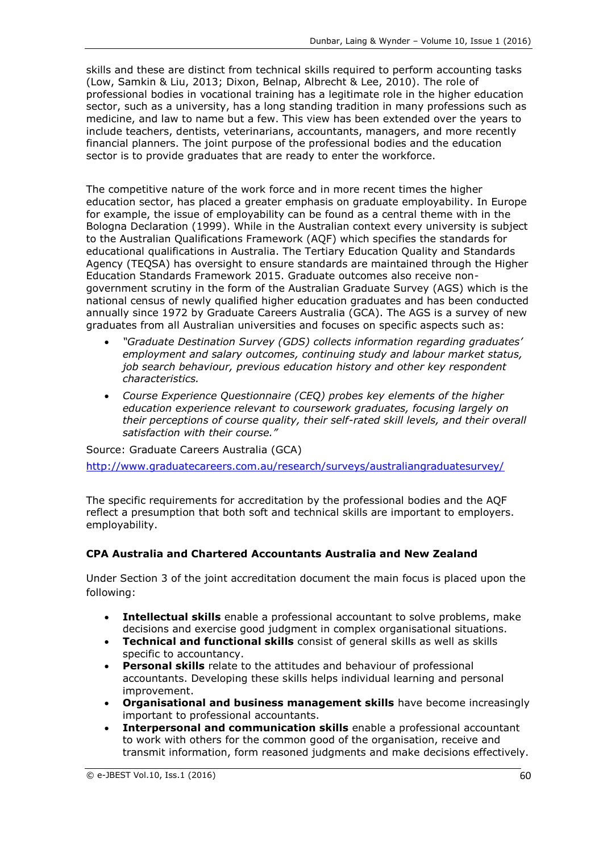skills and these are distinct from technical skills required to perform accounting tasks (Low, Samkin & Liu, 2013; Dixon, Belnap, Albrecht & Lee, 2010). The role of professional bodies in vocational training has a legitimate role in the higher education sector, such as a university, has a long standing tradition in many professions such as medicine, and law to name but a few. This view has been extended over the years to include teachers, dentists, veterinarians, accountants, managers, and more recently financial planners. The joint purpose of the professional bodies and the education sector is to provide graduates that are ready to enter the workforce.

The competitive nature of the work force and in more recent times the higher education sector, has placed a greater emphasis on graduate employability. In Europe for example, the issue of employability can be found as a central theme with in the Bologna Declaration (1999). While in the Australian context every university is subject to the Australian Qualifications Framework (AQF) which specifies the standards for educational qualifications in Australia. The Tertiary Education Quality and Standards Agency (TEQSA) has oversight to ensure standards are maintained through the Higher Education Standards Framework 2015. Graduate outcomes also receive nongovernment scrutiny in the form of the Australian Graduate Survey (AGS) which is the national census of newly qualified higher education graduates and has been conducted annually since 1972 by Graduate Careers Australia (GCA). The AGS is a survey of new graduates from all Australian universities and focuses on specific aspects such as:

- *"Graduate Destination Survey (GDS) collects information regarding graduates' employment and salary outcomes, continuing study and labour market status, job search behaviour, previous education history and other key respondent characteristics.*
- *Course Experience Questionnaire (CEQ) probes key elements of the higher education experience relevant to coursework graduates, focusing largely on their perceptions of course quality, their self-rated skill levels, and their overall satisfaction with their course."*

Source: Graduate Careers Australia (GCA) <http://www.graduatecareers.com.au/research/surveys/australiangraduatesurvey/>

The specific requirements for accreditation by the professional bodies and the AQF reflect a presumption that both soft and technical skills are important to employers. employability.

### **CPA Australia and Chartered Accountants Australia and New Zealand**

Under Section 3 of the joint accreditation document the main focus is placed upon the following:

- **Intellectual skills** enable a professional accountant to solve problems, make decisions and exercise good judgment in complex organisational situations.
- **Technical and functional skills** consist of general skills as well as skills specific to accountancy.
- **Personal skills** relate to the attitudes and behaviour of professional accountants. Developing these skills helps individual learning and personal improvement.
- **Organisational and business management skills** have become increasingly important to professional accountants.
- **Interpersonal and communication skills** enable a professional accountant to work with others for the common good of the organisation, receive and transmit information, form reasoned judgments and make decisions effectively.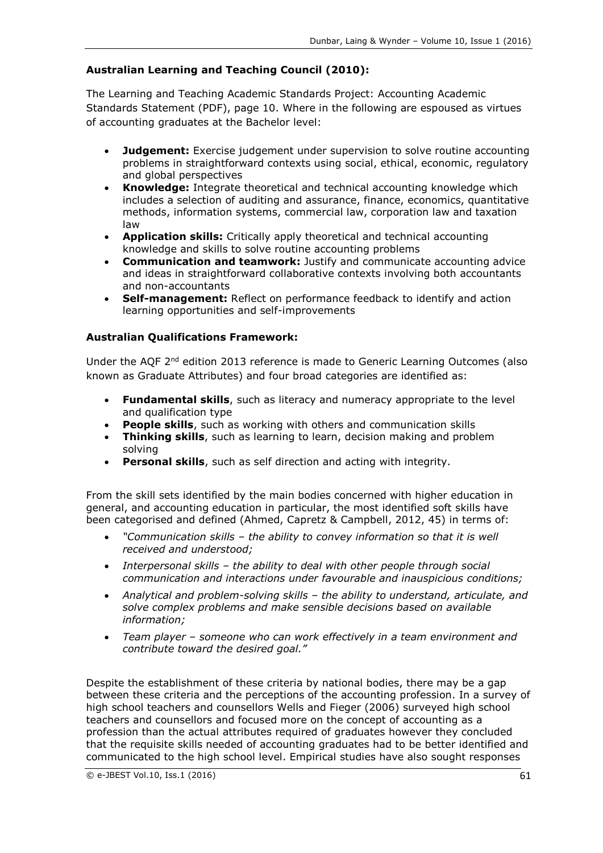### **Australian Learning and Teaching Council (2010):**

The Learning and Teaching Academic Standards Project: Accounting Academic Standards Statement (PDF), page 10. Where in the following are espoused as virtues of accounting graduates at the Bachelor level:

- **Judgement:** Exercise judgement under supervision to solve routine accounting problems in straightforward contexts using social, ethical, economic, regulatory and global perspectives
- **Knowledge:** Integrate theoretical and technical accounting knowledge which includes a selection of auditing and assurance, finance, economics, quantitative methods, information systems, commercial law, corporation law and taxation law
- **Application skills:** Critically apply theoretical and technical accounting knowledge and skills to solve routine accounting problems
- **Communication and teamwork:** Justify and communicate accounting advice and ideas in straightforward collaborative contexts involving both accountants and non-accountants
- **Self-management:** Reflect on performance feedback to identify and action learning opportunities and self-improvements

#### **Australian Qualifications Framework:**

Under the AQF 2<sup>nd</sup> edition 2013 reference is made to Generic Learning Outcomes (also known as Graduate Attributes) and four broad categories are identified as:

- **Fundamental skills**, such as literacy and numeracy appropriate to the level and qualification type
- **People skills**, such as working with others and communication skills
- **Thinking skills**, such as learning to learn, decision making and problem solving
- **Personal skills**, such as self direction and acting with integrity.

From the skill sets identified by the main bodies concerned with higher education in general, and accounting education in particular, the most identified soft skills have been categorised and defined (Ahmed, Capretz & Campbell, 2012, 45) in terms of:

- *"Communication skills – the ability to convey information so that it is well received and understood;*
- *Interpersonal skills – the ability to deal with other people through social communication and interactions under favourable and inauspicious conditions;*
- *Analytical and problem-solving skills – the ability to understand, articulate, and solve complex problems and make sensible decisions based on available information;*
- *Team player – someone who can work effectively in a team environment and contribute toward the desired goal."*

Despite the establishment of these criteria by national bodies, there may be a gap between these criteria and the perceptions of the accounting profession. In a survey of high school teachers and counsellors Wells and Fieger (2006) surveyed high school teachers and counsellors and focused more on the concept of accounting as a profession than the actual attributes required of graduates however they concluded that the requisite skills needed of accounting graduates had to be better identified and communicated to the high school level. Empirical studies have also sought responses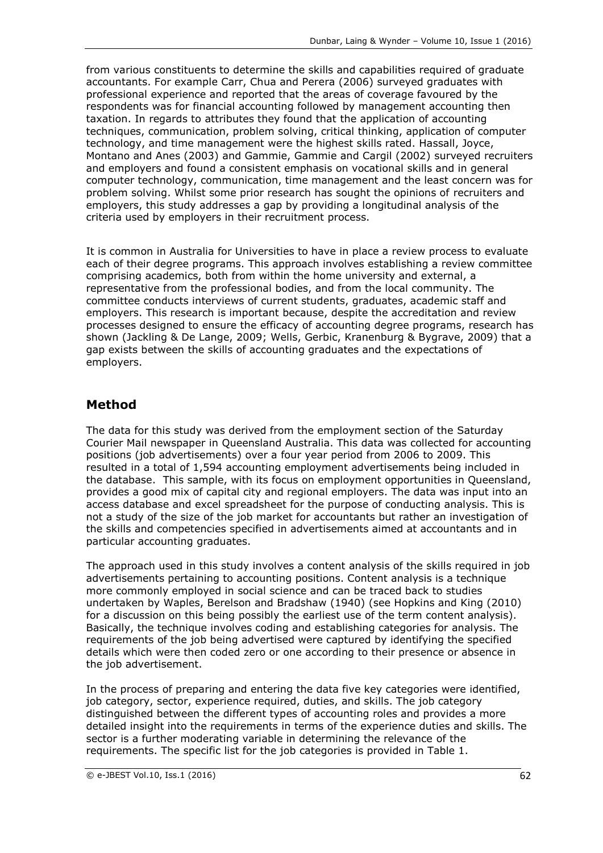from various constituents to determine the skills and capabilities required of graduate accountants. For example Carr, Chua and Perera (2006) surveyed graduates with professional experience and reported that the areas of coverage favoured by the respondents was for financial accounting followed by management accounting then taxation. In regards to attributes they found that the application of accounting techniques, communication, problem solving, critical thinking, application of computer technology, and time management were the highest skills rated. Hassall, Joyce, Montano and Anes (2003) and Gammie, Gammie and Cargil (2002) surveyed recruiters and employers and found a consistent emphasis on vocational skills and in general computer technology, communication, time management and the least concern was for problem solving. Whilst some prior research has sought the opinions of recruiters and employers, this study addresses a gap by providing a longitudinal analysis of the criteria used by employers in their recruitment process.

It is common in Australia for Universities to have in place a review process to evaluate each of their degree programs. This approach involves establishing a review committee comprising academics, both from within the home university and external, a representative from the professional bodies, and from the local community. The committee conducts interviews of current students, graduates, academic staff and employers. This research is important because, despite the accreditation and review processes designed to ensure the efficacy of accounting degree programs, research has shown (Jackling & De Lange, 2009; Wells, Gerbic, Kranenburg & Bygrave, 2009) that a gap exists between the skills of accounting graduates and the expectations of employers.

## **Method**

The data for this study was derived from the employment section of the Saturday Courier Mail newspaper in Queensland Australia. This data was collected for accounting positions (job advertisements) over a four year period from 2006 to 2009. This resulted in a total of 1,594 accounting employment advertisements being included in the database. This sample, with its focus on employment opportunities in Queensland, provides a good mix of capital city and regional employers. The data was input into an access database and excel spreadsheet for the purpose of conducting analysis. This is not a study of the size of the job market for accountants but rather an investigation of the skills and competencies specified in advertisements aimed at accountants and in particular accounting graduates.

The approach used in this study involves a content analysis of the skills required in job advertisements pertaining to accounting positions. Content analysis is a technique more commonly employed in social science and can be traced back to studies undertaken by Waples, Berelson and Bradshaw (1940) (see Hopkins and King (2010) for a discussion on this being possibly the earliest use of the term content analysis). Basically, the technique involves coding and establishing categories for analysis. The requirements of the job being advertised were captured by identifying the specified details which were then coded zero or one according to their presence or absence in the job advertisement.

In the process of preparing and entering the data five key categories were identified, job category, sector, experience required, duties, and skills. The job category distinguished between the different types of accounting roles and provides a more detailed insight into the requirements in terms of the experience duties and skills. The sector is a further moderating variable in determining the relevance of the requirements. The specific list for the job categories is provided in Table 1.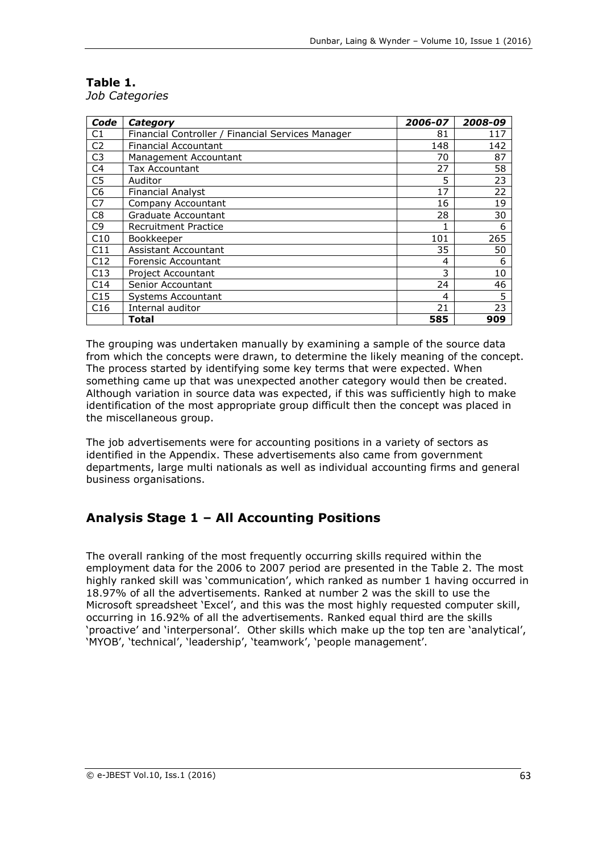#### **Table 1.** *Job Categories*

| Code            | Category                                          | 2006-07 | 2008-09 |
|-----------------|---------------------------------------------------|---------|---------|
| C1              | Financial Controller / Financial Services Manager | 81      | 117     |
| C <sub>2</sub>  | <b>Financial Accountant</b>                       | 148     | 142     |
| C <sub>3</sub>  | Management Accountant                             | 70      | 87      |
| C <sub>4</sub>  | Tax Accountant                                    | 27      | 58      |
| C <sub>5</sub>  | Auditor                                           | 5       | 23      |
| C <sub>6</sub>  | <b>Financial Analyst</b>                          | 17      | 22      |
| C7              | Company Accountant                                | 16      | 19      |
| C <sub>8</sub>  | Graduate Accountant                               | 28      | 30      |
| C <sub>9</sub>  | <b>Recruitment Practice</b>                       |         | 6       |
| C10             | Bookkeeper                                        | 101     | 265     |
| C11             | Assistant Accountant                              | 35      | 50      |
| C12             | Forensic Accountant                               | 4       | 6       |
| C13             | Project Accountant                                | 3       | 10      |
| C <sub>14</sub> | Senior Accountant                                 | 24      | 46      |
| C15             | Systems Accountant                                | 4       | 5       |
| C16             | Internal auditor                                  | 21      | 23      |
|                 | Total                                             | 585     | 909     |

The grouping was undertaken manually by examining a sample of the source data from which the concepts were drawn, to determine the likely meaning of the concept. The process started by identifying some key terms that were expected. When something came up that was unexpected another category would then be created. Although variation in source data was expected, if this was sufficiently high to make identification of the most appropriate group difficult then the concept was placed in the miscellaneous group.

The job advertisements were for accounting positions in a variety of sectors as identified in the Appendix. These advertisements also came from government departments, large multi nationals as well as individual accounting firms and general business organisations.

# **Analysis Stage 1 – All Accounting Positions**

The overall ranking of the most frequently occurring skills required within the employment data for the 2006 to 2007 period are presented in the Table 2. The most highly ranked skill was 'communication', which ranked as number 1 having occurred in 18.97% of all the advertisements. Ranked at number 2 was the skill to use the Microsoft spreadsheet 'Excel', and this was the most highly requested computer skill, occurring in 16.92% of all the advertisements. Ranked equal third are the skills 'proactive' and 'interpersonal'. Other skills which make up the top ten are 'analytical', 'MYOB', 'technical', 'leadership', 'teamwork', 'people management'.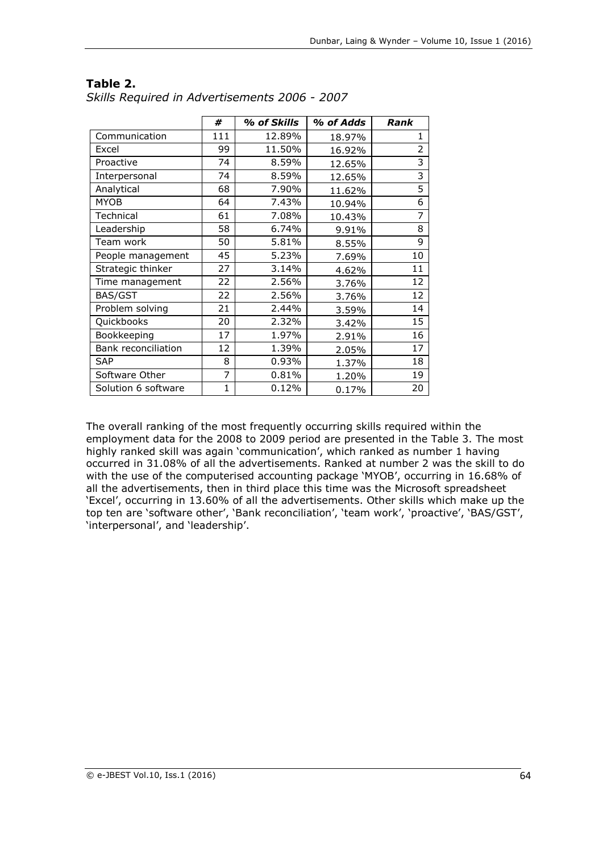|                     | #            | % of Skills | % of Adds | Rank           |
|---------------------|--------------|-------------|-----------|----------------|
| Communication       | 111          | 12.89%      | 18.97%    | 1              |
| Excel               | 99           | 11.50%      | 16.92%    | $\overline{2}$ |
| Proactive           | 74           | 8.59%       | 12.65%    | 3              |
| Interpersonal       | 74           | 8.59%       | 12.65%    | 3              |
| Analytical          | 68           | 7.90%       | 11.62%    | 5              |
| <b>MYOB</b>         | 64           | 7.43%       | 10.94%    | 6              |
| Technical           | 61           | 7.08%       | 10.43%    | 7              |
| Leadership          | 58           | 6.74%       | 9.91%     | 8              |
| Team work           | 50           | 5.81%       | 8.55%     | 9              |
| People management   | 45           | 5.23%       | 7.69%     | 10             |
| Strategic thinker   | 27           | 3.14%       | 4.62%     | 11             |
| Time management     | 22           | 2.56%       | 3.76%     | 12             |
| BAS/GST             | 22           | 2.56%       | 3.76%     | 12             |
| Problem solving     | 21           | 2.44%       | 3.59%     | 14             |
| Quickbooks          | 20           | 2.32%       | 3.42%     | 15             |
| Bookkeeping         | 17           | 1.97%       | 2.91%     | 16             |
| Bank reconciliation | 12           | 1.39%       | 2.05%     | 17             |
| <b>SAP</b>          | 8            | 0.93%       | 1.37%     | 18             |
| Software Other      | 7            | 0.81%       | 1.20%     | 19             |
| Solution 6 software | $\mathbf{1}$ | 0.12%       | 0.17%     | 20             |

#### **Table 2.** *Skills Required in Advertisements 2006 - 2007*

The overall ranking of the most frequently occurring skills required within the employment data for the 2008 to 2009 period are presented in the Table 3. The most highly ranked skill was again 'communication', which ranked as number 1 having occurred in 31.08% of all the advertisements. Ranked at number 2 was the skill to do with the use of the computerised accounting package 'MYOB', occurring in 16.68% of all the advertisements, then in third place this time was the Microsoft spreadsheet 'Excel', occurring in 13.60% of all the advertisements. Other skills which make up the top ten are 'software other', 'Bank reconciliation', 'team work', 'proactive', 'BAS/GST', 'interpersonal', and 'leadership'.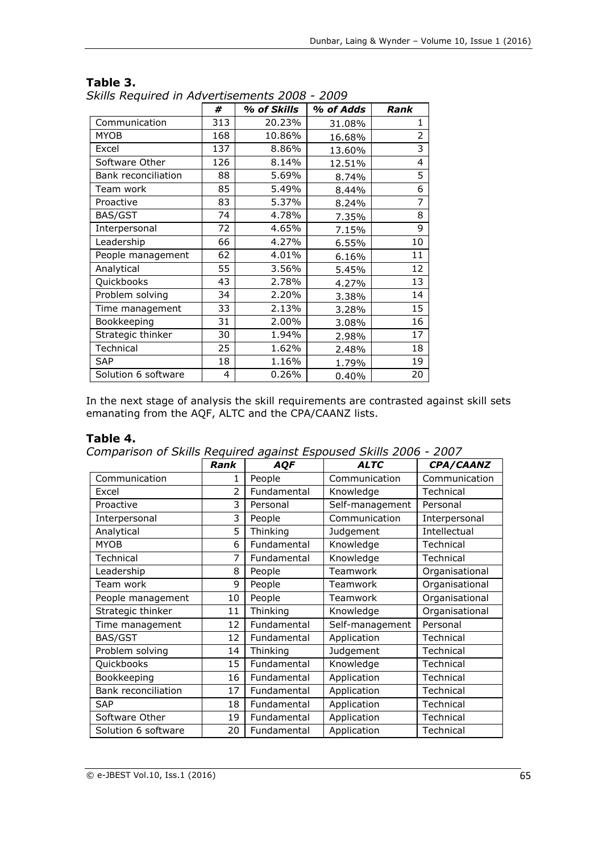|                     | #   | % of Skills | % of Adds | Rank           |
|---------------------|-----|-------------|-----------|----------------|
| Communication       | 313 | 20.23%      | 31.08%    | 1              |
| <b>MYOB</b>         | 168 | 10.86%      | 16.68%    | $\overline{2}$ |
| Excel               | 137 | 8.86%       | 13.60%    | 3              |
| Software Other      | 126 | 8.14%       | 12.51%    | 4              |
| Bank reconciliation | 88  | 5.69%       | 8.74%     | 5              |
| Team work           | 85  | 5.49%       | 8.44%     | 6              |
| Proactive           | 83  | 5.37%       | 8.24%     | $\overline{7}$ |
| BAS/GST             | 74  | 4.78%       | 7.35%     | 8              |
| Interpersonal       | 72  | 4.65%       | 7.15%     | 9              |
| Leadership          | 66  | 4.27%       | 6.55%     | 10             |
| People management   | 62  | 4.01%       | 6.16%     | 11             |
| Analytical          | 55  | 3.56%       | 5.45%     | 12             |
| Quickbooks          | 43  | 2.78%       | 4.27%     | 13             |
| Problem solving     | 34  | 2.20%       | 3.38%     | 14             |
| Time management     | 33  | 2.13%       | 3.28%     | 15             |
| Bookkeeping         | 31  | 2.00%       | 3.08%     | 16             |
| Strategic thinker   | 30  | 1.94%       | 2.98%     | 17             |
| Technical           | 25  | 1.62%       | 2.48%     | 18             |
| <b>SAP</b>          | 18  | 1.16%       | 1.79%     | 19             |
| Solution 6 software | 4   | 0.26%       | 0.40%     | 20             |

#### **Table 3.**

*Skills Required in Advertisements 2008 - 2009*

In the next stage of analysis the skill requirements are contrasted against skill sets emanating from the AQF, ALTC and the CPA/CAANZ lists.

### **Table 4.**

*Comparison of Skills Required against Espoused Skills 2006 - 2007*

|                     | Rank           | <b>AQF</b>  | <b>ALTC</b>     | CPA/CAANZ      |
|---------------------|----------------|-------------|-----------------|----------------|
| Communication       | 1              | People      | Communication   | Communication  |
| Excel               | $\overline{2}$ | Fundamental | Knowledge       | Technical      |
| Proactive           | 3              | Personal    | Self-management | Personal       |
| Interpersonal       | 3              | People      | Communication   | Interpersonal  |
| Analytical          | 5              | Thinking    | Judgement       | Intellectual   |
| <b>MYOB</b>         | 6              | Fundamental | Knowledge       | Technical      |
| Technical           | 7              | Fundamental | Knowledge       | Technical      |
| Leadership          | 8              | People      | Teamwork        | Organisational |
| Team work           | 9              | People      | Teamwork        | Organisational |
| People management   | 10             | People      | Teamwork        | Organisational |
| Strategic thinker   | 11             | Thinking    | Knowledge       | Organisational |
| Time management     | 12             | Fundamental | Self-management | Personal       |
| BAS/GST             | 12             | Fundamental | Application     | Technical      |
| Problem solving     | 14             | Thinking    | Judgement       | Technical      |
| Quickbooks          | 15             | Fundamental | Knowledge       | Technical      |
| Bookkeeping         | 16             | Fundamental | Application     | Technical      |
| Bank reconciliation | 17             | Fundamental | Application     | Technical      |
| <b>SAP</b>          | 18             | Fundamental | Application     | Technical      |
| Software Other      | 19             | Fundamental | Application     | Technical      |
| Solution 6 software | 20             | Fundamental | Application     | Technical      |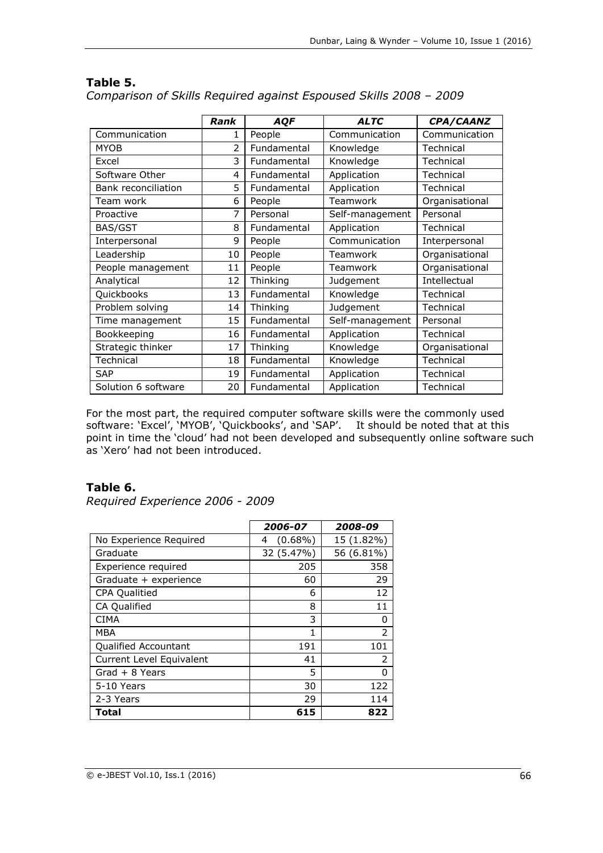|                     | <b>Rank</b>    | AQF         | <b>ALTC</b>     | CPA/CAANZ      |
|---------------------|----------------|-------------|-----------------|----------------|
| Communication       | 1              | People      | Communication   | Communication  |
| <b>MYOB</b>         | $\overline{2}$ | Fundamental | Knowledge       | Technical      |
| Excel               | 3              | Fundamental | Knowledge       | Technical      |
| Software Other      | 4              | Fundamental | Application     | Technical      |
| Bank reconciliation | 5              | Fundamental | Application     | Technical      |
| Team work           | 6              | People      | Teamwork        | Organisational |
| Proactive           | 7              | Personal    | Self-management | Personal       |
| BAS/GST             | 8              | Fundamental | Application     | Technical      |
| Interpersonal       | 9              | People      | Communication   | Interpersonal  |
| Leadership          | 10             | People      | Teamwork        | Organisational |
| People management   | 11             | People      | Teamwork        | Organisational |
| Analytical          | 12             | Thinking    | Judgement       | Intellectual   |
| Quickbooks          | 13             | Fundamental | Knowledge       | Technical      |
| Problem solving     | 14             | Thinking    | Judgement       | Technical      |
| Time management     | 15             | Fundamental | Self-management | Personal       |
| Bookkeeping         | 16             | Fundamental | Application     | Technical      |
| Strategic thinker   | 17             | Thinking    | Knowledge       | Organisational |
| Technical           | 18             | Fundamental | Knowledge       | Technical      |
| <b>SAP</b>          | 19             | Fundamental | Application     | Technical      |
| Solution 6 software | 20             | Fundamental | Application     | Technical      |

## **Table 5.**

*Comparison of Skills Required against Espoused Skills 2008 – 2009*

For the most part, the required computer software skills were the commonly used software: 'Excel', 'MYOB', 'Quickbooks', and 'SAP'. It should be noted that at this point in time the 'cloud' had not been developed and subsequently online software such as 'Xero' had not been introduced.

## **Table 6.**

*Required Experience 2006 - 2009*

|                          | 2006-07         | 2008-09    |
|--------------------------|-----------------|------------|
| No Experience Required   | $(0.68\%)$<br>4 | 15 (1.82%) |
| Graduate                 | 32 (5.47%)      | 56 (6.81%) |
| Experience required      | 205             | 358        |
| Graduate + experience    | 60              | 29         |
| <b>CPA Qualitied</b>     | 6               | 12         |
| CA Qualified             | 8               | 11         |
| <b>CIMA</b>              | 3               | 0          |
| <b>MBA</b>               | 1               | 2          |
| Qualified Accountant     | 191             | 101        |
| Current Level Equivalent | 41              | 2          |
| Grad $+ 8$ Years         | 5               | O          |
| 5-10 Years               | 30              | 122        |
| 2-3 Years                | 29              | 114        |
| Total                    | 615             | 822        |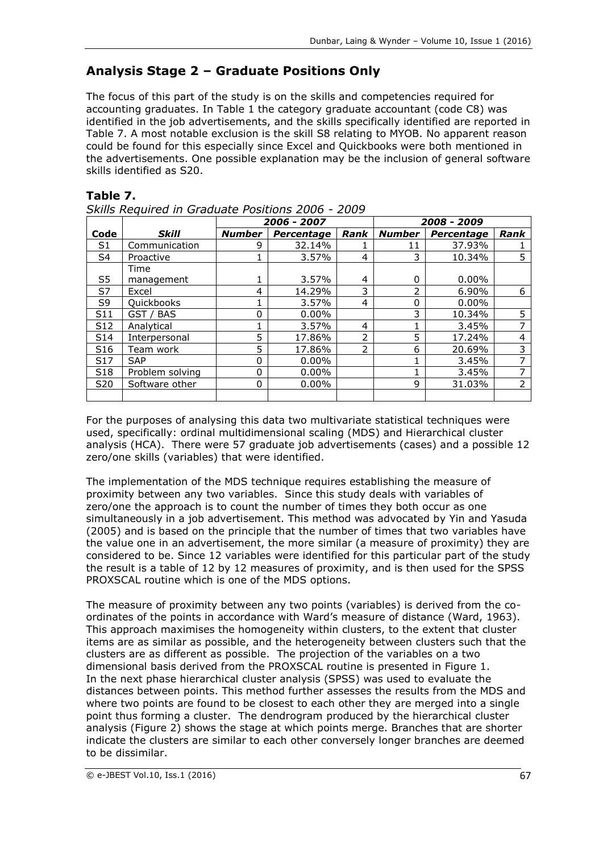# **Analysis Stage 2 – Graduate Positions Only**

The focus of this part of the study is on the skills and competencies required for accounting graduates. In Table 1 the category graduate accountant (code C8) was identified in the job advertisements, and the skills specifically identified are reported in Table 7. A most notable exclusion is the skill S8 relating to MYOB. No apparent reason could be found for this especially since Excel and Quickbooks were both mentioned in the advertisements. One possible explanation may be the inclusion of general software skills identified as S20.

### **Table 7.**

|  | Skills Required in Graduate Positions 2006 - 2009 |  |  |
|--|---------------------------------------------------|--|--|
|  |                                                   |  |  |

|                 |                 | 2006 - 2007   |                   |               |               | 2008 - 2009 |      |
|-----------------|-----------------|---------------|-------------------|---------------|---------------|-------------|------|
| Code            | <b>Skill</b>    | <b>Number</b> | <b>Percentage</b> | Rank          | <b>Number</b> | Percentage  | Rank |
| S1              | Communication   | 9             | 32.14%            |               | 11            | 37.93%      |      |
| S4              | Proactive       |               | 3.57%             | 4             | 3             | 10.34%      |      |
|                 | Time            |               |                   |               |               |             |      |
| S5              | management      |               | 3.57%             | 4             | 0             | $0.00\%$    |      |
| S7              | Excel           | 4             | 14.29%            | 3             | ว             | 6.90%       | 6    |
| S9              | Quickbooks      |               | 3.57%             | 4             | 0             | $0.00\%$    |      |
| S <sub>11</sub> | GST / BAS       | 0             | $0.00\%$          |               | 3             | 10.34%      | 5    |
| S <sub>12</sub> | Analytical      |               | 3.57%             | 4             |               | 3.45%       | ⇁    |
| S <sub>14</sub> | Interpersonal   | 5             | 17.86%            | $\mathcal{P}$ | 5             | 17.24%      | 4    |
| S <sub>16</sub> | Team work       | 5             | 17.86%            | $\mathcal{P}$ | 6             | 20.69%      | 3    |
| S <sub>17</sub> | <b>SAP</b>      | 0             | $0.00\%$          |               |               | 3.45%       | ⇁    |
| S <sub>18</sub> | Problem solving | 0             | $0.00\%$          |               |               | 3.45%       | ⇁    |
| S20             | Software other  | 0             | $0.00\%$          |               | 9             | 31.03%      | 2    |
|                 |                 |               |                   |               |               |             |      |

For the purposes of analysing this data two multivariate statistical techniques were used, specifically: ordinal multidimensional scaling (MDS) and Hierarchical cluster analysis (HCA). There were 57 graduate job advertisements (cases) and a possible 12 zero/one skills (variables) that were identified.

The implementation of the MDS technique requires establishing the measure of proximity between any two variables. Since this study deals with variables of zero/one the approach is to count the number of times they both occur as one simultaneously in a job advertisement. This method was advocated by Yin and Yasuda (2005) and is based on the principle that the number of times that two variables have the value one in an advertisement, the more similar (a measure of proximity) they are considered to be. Since 12 variables were identified for this particular part of the study the result is a table of 12 by 12 measures of proximity, and is then used for the SPSS PROXSCAL routine which is one of the MDS options.

The measure of proximity between any two points (variables) is derived from the coordinates of the points in accordance with Ward's measure of distance (Ward, 1963). This approach maximises the homogeneity within clusters, to the extent that cluster items are as similar as possible, and the heterogeneity between clusters such that the clusters are as different as possible. The projection of the variables on a two dimensional basis derived from the PROXSCAL routine is presented in Figure 1. In the next phase hierarchical cluster analysis (SPSS) was used to evaluate the distances between points. This method further assesses the results from the MDS and where two points are found to be closest to each other they are merged into a single point thus forming a cluster. The dendrogram produced by the hierarchical cluster analysis (Figure 2) shows the stage at which points merge. Branches that are shorter indicate the clusters are similar to each other conversely longer branches are deemed to be dissimilar.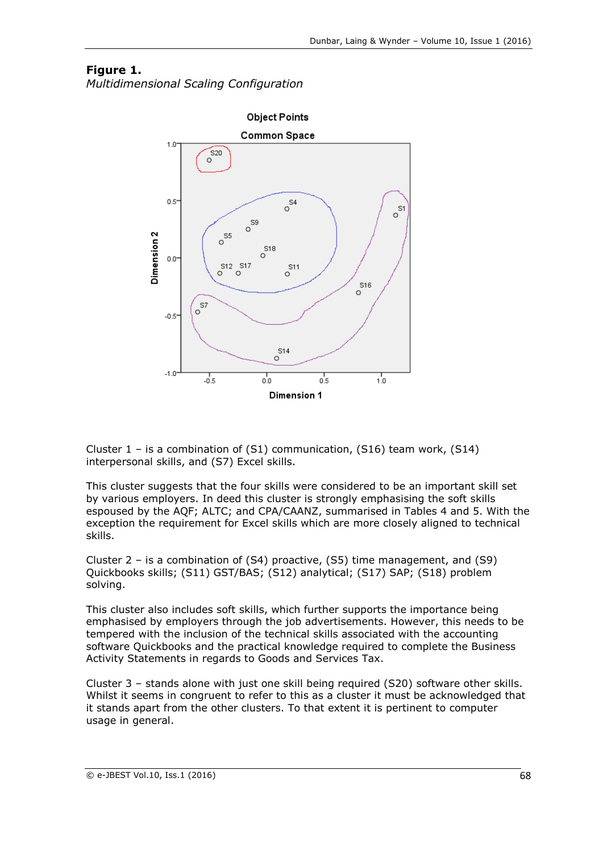### **Figure 1.**

*Multidimensional Scaling Configuration*



Cluster  $1$  – is a combination of  $(S1)$  communication,  $(S16)$  team work,  $(S14)$ interpersonal skills, and (S7) Excel skills.

This cluster suggests that the four skills were considered to be an important skill set by various employers. In deed this cluster is strongly emphasising the soft skills espoused by the AQF; ALTC; and CPA/CAANZ, summarised in Tables 4 and 5. With the exception the requirement for Excel skills which are more closely aligned to technical skills.

Cluster 2 – is a combination of (S4) proactive, (S5) time management, and (S9) Quickbooks skills; (S11) GST/BAS; (S12) analytical; (S17) SAP; (S18) problem solving.

This cluster also includes soft skills, which further supports the importance being emphasised by employers through the job advertisements. However, this needs to be tempered with the inclusion of the technical skills associated with the accounting software Quickbooks and the practical knowledge required to complete the Business Activity Statements in regards to Goods and Services Tax.

Cluster 3 – stands alone with just one skill being required (S20) software other skills. Whilst it seems in congruent to refer to this as a cluster it must be acknowledged that it stands apart from the other clusters. To that extent it is pertinent to computer usage in general.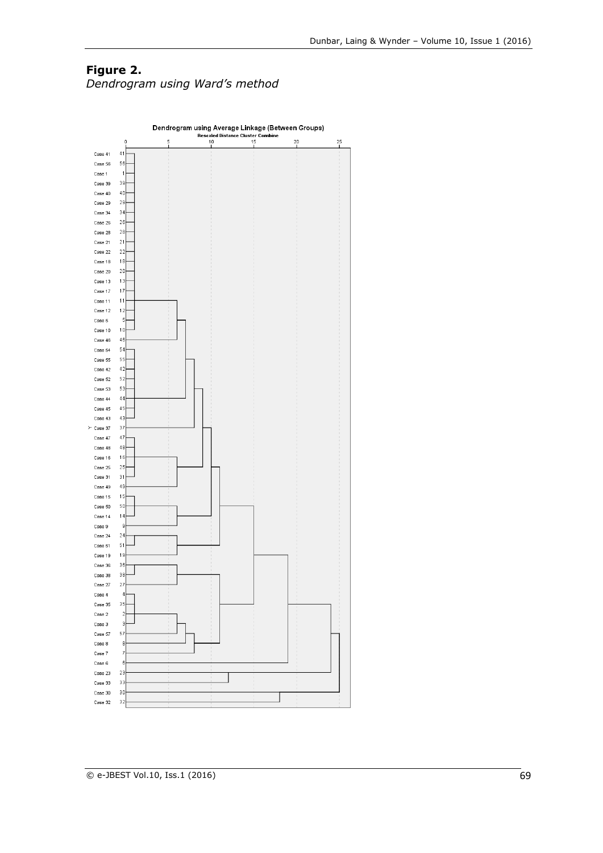### **Figure 2.** *Dendrogram using Ward's method*

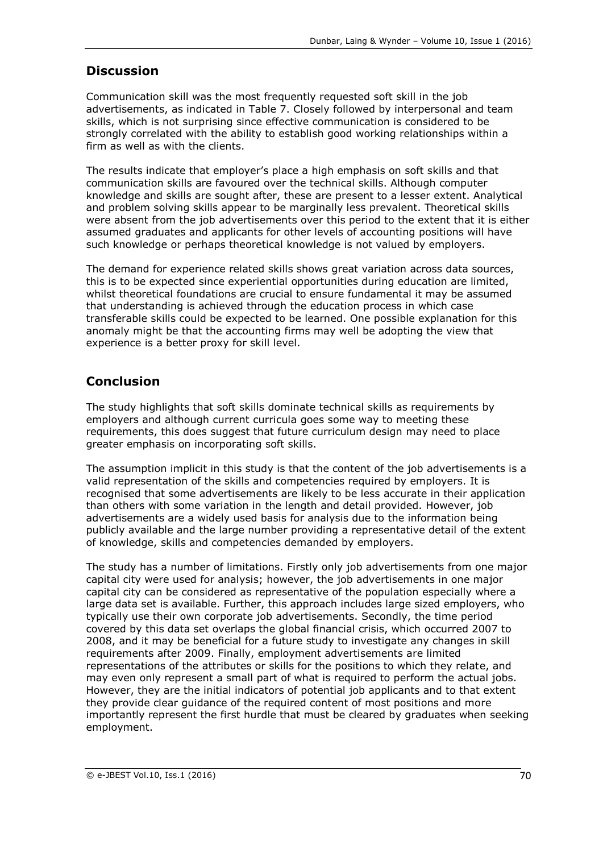# **Discussion**

Communication skill was the most frequently requested soft skill in the job advertisements, as indicated in Table 7. Closely followed by interpersonal and team skills, which is not surprising since effective communication is considered to be strongly correlated with the ability to establish good working relationships within a firm as well as with the clients.

The results indicate that employer's place a high emphasis on soft skills and that communication skills are favoured over the technical skills. Although computer knowledge and skills are sought after, these are present to a lesser extent. Analytical and problem solving skills appear to be marginally less prevalent. Theoretical skills were absent from the job advertisements over this period to the extent that it is either assumed graduates and applicants for other levels of accounting positions will have such knowledge or perhaps theoretical knowledge is not valued by employers.

The demand for experience related skills shows great variation across data sources, this is to be expected since experiential opportunities during education are limited, whilst theoretical foundations are crucial to ensure fundamental it may be assumed that understanding is achieved through the education process in which case transferable skills could be expected to be learned. One possible explanation for this anomaly might be that the accounting firms may well be adopting the view that experience is a better proxy for skill level.

# **Conclusion**

The study highlights that soft skills dominate technical skills as requirements by employers and although current curricula goes some way to meeting these requirements, this does suggest that future curriculum design may need to place greater emphasis on incorporating soft skills.

The assumption implicit in this study is that the content of the job advertisements is a valid representation of the skills and competencies required by employers. It is recognised that some advertisements are likely to be less accurate in their application than others with some variation in the length and detail provided. However, job advertisements are a widely used basis for analysis due to the information being publicly available and the large number providing a representative detail of the extent of knowledge, skills and competencies demanded by employers.

The study has a number of limitations. Firstly only job advertisements from one major capital city were used for analysis; however, the job advertisements in one major capital city can be considered as representative of the population especially where a large data set is available. Further, this approach includes large sized employers, who typically use their own corporate job advertisements. Secondly, the time period covered by this data set overlaps the global financial crisis, which occurred 2007 to 2008, and it may be beneficial for a future study to investigate any changes in skill requirements after 2009. Finally, employment advertisements are limited representations of the attributes or skills for the positions to which they relate, and may even only represent a small part of what is required to perform the actual jobs. However, they are the initial indicators of potential job applicants and to that extent they provide clear guidance of the required content of most positions and more importantly represent the first hurdle that must be cleared by graduates when seeking employment.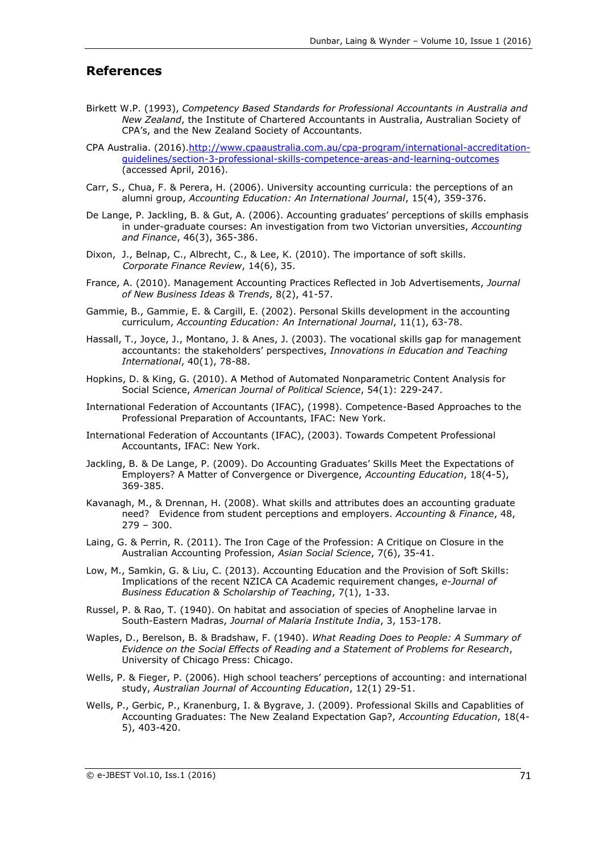#### **References**

- Birkett W.P. (1993), *Competency Based Standards for Professional Accountants in Australia and New Zealand*, the Institute of Chartered Accountants in Australia, Australian Society of CPA's, and the New Zealand Society of Accountants.
- CPA Australia. (2016)[.http://www.cpaaustralia.com.au/cpa-program/international-accreditation](http://www.cpaaustralia.com.au/cpa-program/international-accreditation-guidelines/section-3-professional-skills-competence-areas-and-learning-outcomes)[guidelines/section-3-professional-skills-competence-areas-and-learning-outcomes](http://www.cpaaustralia.com.au/cpa-program/international-accreditation-guidelines/section-3-professional-skills-competence-areas-and-learning-outcomes) (accessed April, 2016).
- Carr, S., Chua, F. & Perera, H. (2006). University accounting curricula: the perceptions of an alumni group, *Accounting Education: An International Journal*, 15(4), 359-376.
- De Lange, P. Jackling, B. & Gut, A. (2006). Accounting graduates' perceptions of skills emphasis in under-graduate courses: An investigation from two Victorian unversities, *Accounting and Finance*, 46(3), 365-386.
- Dixon, J., Belnap, C., Albrecht, C., & Lee, K. (2010). The importance of soft skills. *Corporate Finance Review*, 14(6), 35.
- France, A. (2010). Management Accounting Practices Reflected in Job Advertisements, *Journal of New Business Ideas & Trends*, 8(2), 41-57.
- Gammie, B., Gammie, E. & Cargill, E. (2002). Personal Skills development in the accounting curriculum, *Accounting Education: An International Journal*, 11(1), 63-78.
- Hassall, T., Joyce, J., Montano, J. & Anes, J. (2003). The vocational skills gap for management accountants: the stakeholders' perspectives, *Innovations in Education and Teaching International*, 40(1), 78-88.
- Hopkins, D. & King, G. (2010). A Method of Automated Nonparametric Content Analysis for Social Science, *American Journal of Political Science*, 54(1): 229-247.
- International Federation of Accountants (IFAC), (1998). Competence-Based Approaches to the Professional Preparation of Accountants, IFAC: New York.
- International Federation of Accountants (IFAC), (2003). Towards Competent Professional Accountants, IFAC: New York.
- Jackling, B. & De Lange, P. (2009). Do Accounting Graduates' Skills Meet the Expectations of Employers? A Matter of Convergence or Divergence, *Accounting Education*, 18(4-5), 369-385.
- Kavanagh, M., & Drennan, H. (2008). What skills and attributes does an accounting graduate need? Evidence from student perceptions and employers. *Accounting & Finance*, 48, 279 – 300.
- Laing, G. & Perrin, R. (2011). The Iron Cage of the Profession: A Critique on Closure in the Australian Accounting Profession, *Asian Social Science*, 7(6), 35-41.
- Low, M., Samkin, G. & Liu, C. (2013). Accounting Education and the Provision of Soft Skills: Implications of the recent NZICA CA Academic requirement changes, *e-Journal of Business Education & Scholarship of Teaching*, 7(1), 1-33.
- Russel, P. & Rao, T. (1940). On habitat and association of species of Anopheline larvae in South-Eastern Madras, *Journal of Malaria Institute India*, 3, 153-178.
- Waples, D., Berelson, B. & Bradshaw, F. (1940). *What Reading Does to People: A Summary of Evidence on the Social Effects of Reading and a Statement of Problems for Research*, University of Chicago Press: Chicago.
- Wells, P. & Fieger, P. (2006). High school teachers' perceptions of accounting: and international study, *Australian Journal of Accounting Education*, 12(1) 29-51.
- Wells, P., Gerbic, P., Kranenburg, I. & Bygrave, J. (2009). Professional Skills and Capablities of Accounting Graduates: The New Zealand Expectation Gap?, *Accounting Education*, 18(4- 5), 403-420.